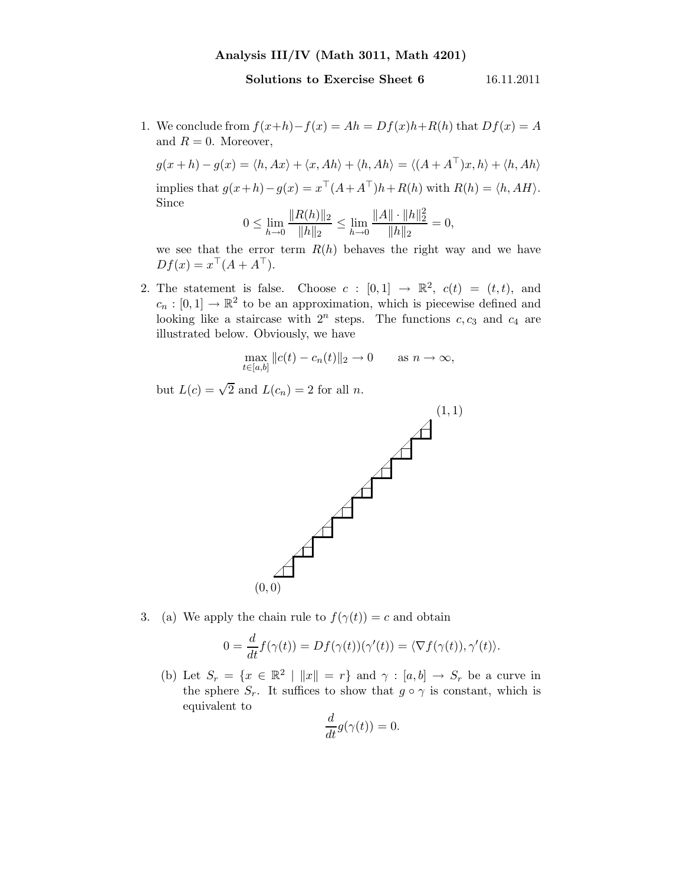## Analysis III/IV (Math 3011, Math 4201)

## Solutions to Exercise Sheet 6 16.11.2011

1. We conclude from  $f(x+h)-f(x) = Ah = Df(x)h+R(h)$  that  $Df(x) = A$ and  $R = 0$ . Moreover,

$$
g(x+h) - g(x) = \langle h, Ax \rangle + \langle x, Ah \rangle + \langle h, Ah \rangle = \langle (A + A^{\top})x, h \rangle + \langle h, Ah \rangle
$$
  
implies that  $g(x+h) - g(x) = x^{\top}(A + A^{\top})h + R(h)$  with  $R(h) = \langle h, AH \rangle$ .  
Since

$$
0 \le \lim_{h \to 0} \frac{\|R(h)\|_2}{\|h\|_2} \le \lim_{h \to 0} \frac{\|A\| \cdot \|h\|_2^2}{\|h\|_2} = 0,
$$

we see that the error term  $R(h)$  behaves the right way and we have  $Df(x) = x^{\top}(A + A^{\top}).$ 

2. The statement is false. Choose  $c : [0,1] \rightarrow \mathbb{R}^2$ ,  $c(t) = (t,t)$ , and  $c_n : [0,1] \to \mathbb{R}^2$  to be an approximation, which is piecewise defined and looking like a staircase with  $2^n$  steps. The functions  $c, c_3$  and  $c_4$  are illustrated below. Obviously, we have

$$
\max_{t \in [a,b]} \|c(t) - c_n(t)\|_2 \to 0 \quad \text{as } n \to \infty,
$$

but  $L(c) = \sqrt{2}$  and  $L(c_n) = 2$  for all n.



3. (a) We apply the chain rule to  $f(\gamma(t)) = c$  and obtain

$$
0 = \frac{d}{dt} f(\gamma(t)) = Df(\gamma(t))(\gamma'(t)) = \langle \nabla f(\gamma(t)), \gamma'(t) \rangle.
$$

(b) Let  $S_r = \{x \in \mathbb{R}^2 \mid ||x|| = r\}$  and  $\gamma : [a, b] \to S_r$  be a curve in the sphere  $S_r$ . It suffices to show that  $g \circ \gamma$  is constant, which is equivalent to

$$
\frac{d}{dt}g(\gamma(t)) = 0.
$$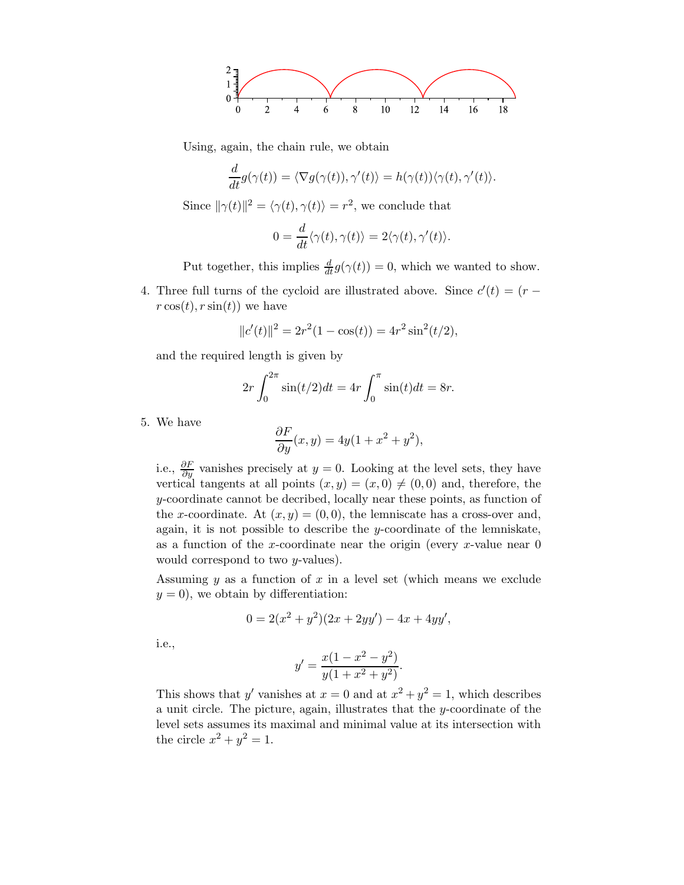

Using, again, the chain rule, we obtain

$$
\frac{d}{dt}g(\gamma(t)) = \langle \nabla g(\gamma(t)), \gamma'(t) \rangle = h(\gamma(t)) \langle \gamma(t), \gamma'(t) \rangle.
$$

Since  $\|\gamma(t)\|^2 = \langle \gamma(t), \gamma(t) \rangle = r^2$ , we conclude that

$$
0 = \frac{d}{dt} \langle \gamma(t), \gamma(t) \rangle = 2 \langle \gamma(t), \gamma'(t) \rangle.
$$

Put together, this implies  $\frac{d}{dt}g(\gamma(t)) = 0$ , which we wanted to show.

4. Three full turns of the cycloid are illustrated above. Since  $c'(t) = (r$  $r \cos(t)$ ,  $r \sin(t)$  we have

$$
||c'(t)||^2 = 2r^2(1 - \cos(t)) = 4r^2\sin^2(t/2),
$$

and the required length is given by

$$
2r \int_0^{2\pi} \sin(t/2)dt = 4r \int_0^{\pi} \sin(t)dt = 8r.
$$

5. We have

$$
\frac{\partial F}{\partial y}(x, y) = 4y(1 + x^2 + y^2),
$$

i.e.,  $\frac{\partial F}{\partial y}$  vanishes precisely at  $y = 0$ . Looking at the level sets, they have vertical tangents at all points  $(x, y) = (x, 0) \neq (0, 0)$  and, therefore, the y-coordinate cannot be decribed, locally near these points, as function of the x-coordinate. At  $(x, y) = (0, 0)$ , the lemniscate has a cross-over and, again, it is not possible to describe the y-coordinate of the lemniskate, as a function of the x-coordinate near the origin (every x-value near  $0$ would correspond to two y-values).

Assuming  $y$  as a function of  $x$  in a level set (which means we exclude  $y = 0$ , we obtain by differentiation:

$$
0 = 2(x^2 + y^2)(2x + 2yy') - 4x + 4yy',
$$

i.e.,

$$
y' = \frac{x(1 - x^2 - y^2)}{y(1 + x^2 + y^2)}.
$$

This shows that y' vanishes at  $x = 0$  and at  $x^2 + y^2 = 1$ , which describes a unit circle. The picture, again, illustrates that the y-coordinate of the level sets assumes its maximal and minimal value at its intersection with the circle  $x^2 + y^2 = 1$ .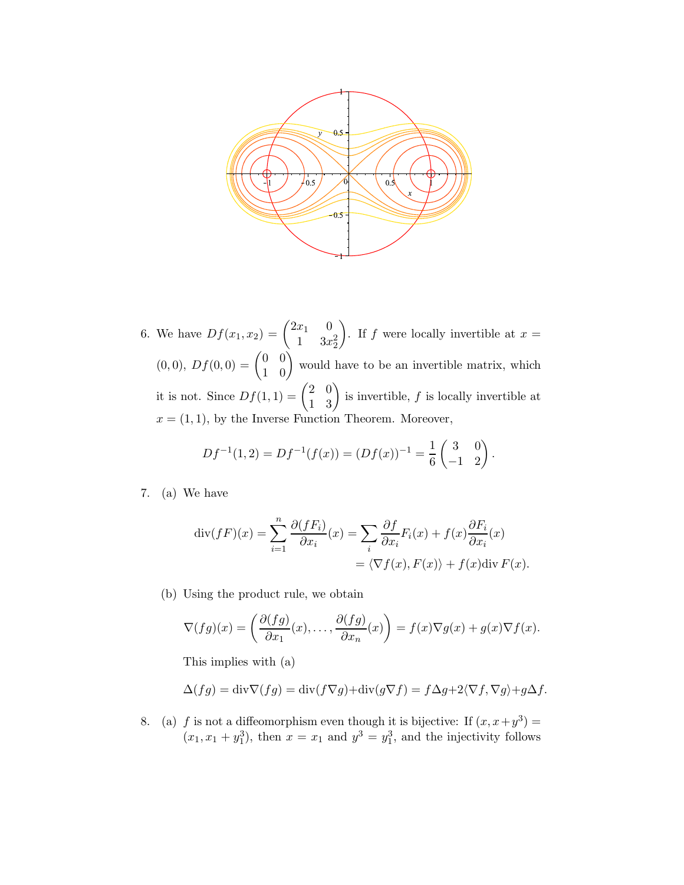

6. We have  $Df(x_1, x_2) = \begin{pmatrix} 2x_1 & 0 \\ 1 & 2x_2 \end{pmatrix}$ 1  $3x_2^2$ ). If f were locally invertible at  $x =$  $(0,0), Df(0,0) = \begin{pmatrix} 0 & 0 \\ 1 & 0 \end{pmatrix}$  would have to be an invertible matrix, which it is not. Since  $Df(1,1) = \begin{pmatrix} 2 & 0 \\ 1 & 3 \end{pmatrix}$  is invertible, f is locally invertible at  $x = (1, 1)$ , by the Inverse Function Theorem. Moreover,

$$
Df^{-1}(1,2) = Df^{-1}(f(x)) = (Df(x))^{-1} = \frac{1}{6} \begin{pmatrix} 3 & 0 \ -1 & 2 \end{pmatrix}.
$$

7. (a) We have

$$
\operatorname{div}(fF)(x) = \sum_{i=1}^{n} \frac{\partial (fF_i)}{\partial x_i}(x) = \sum_{i} \frac{\partial f}{\partial x_i} F_i(x) + f(x) \frac{\partial F_i}{\partial x_i}(x)
$$

$$
= \langle \nabla f(x), F(x) \rangle + f(x) \operatorname{div} F(x).
$$

(b) Using the product rule, we obtain

$$
\nabla(fg)(x) = \left(\frac{\partial(fg)}{\partial x_1}(x),\ldots,\frac{\partial(fg)}{\partial x_n}(x)\right) = f(x)\nabla g(x) + g(x)\nabla f(x).
$$

This implies with (a)

$$
\Delta(fg) = \text{div}\nabla(fg) = \text{div}(f\nabla g) + \text{div}(g\nabla f) = f\Delta g + 2\langle \nabla f, \nabla g \rangle + g\Delta f.
$$

8. (a) f is not a diffeomorphism even though it is bijective: If  $(x, x+y^3)$  =  $(x_1, x_1 + y_1^3)$ , then  $x = x_1$  and  $y^3 = y_1^3$ , and the injectivity follows